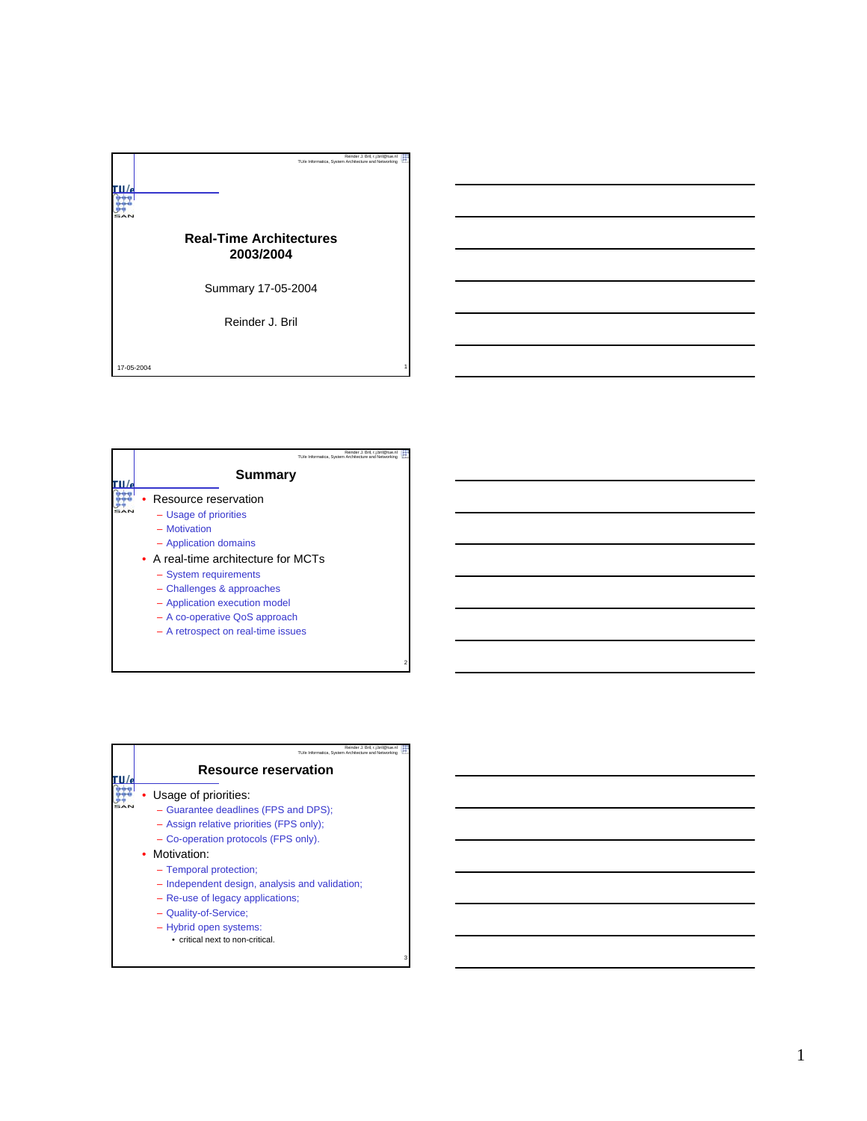|            | Reinder J. Bril, r.j.bril@tue.nl<br>TU/e Informatica, System Architecture and Networking |  |
|------------|------------------------------------------------------------------------------------------|--|
|            | <b>Real-Time Architectures</b><br>2003/2004                                              |  |
|            | Summary 17-05-2004                                                                       |  |
|            | Reinder J. Bril                                                                          |  |
| 17-05-2004 |                                                                                          |  |

| Reinder J. Bril. r.i.bril@tue.nl<br>TU/e Informatica. System Architecture and Networking                                                                                                                                                                                                    |  |
|---------------------------------------------------------------------------------------------------------------------------------------------------------------------------------------------------------------------------------------------------------------------------------------------|--|
| Summary                                                                                                                                                                                                                                                                                     |  |
| Resource reservation<br>- Usage of priorities<br>- Motivation<br>- Application domains<br>• A real-time architecture for MCTs<br>- System requirements<br>- Challenges & approaches<br>- Application execution model<br>- A co-operative QoS approach<br>- A retrospect on real-time issues |  |
|                                                                                                                                                                                                                                                                                             |  |

2

별

3

| Reinder J. Bril, r.i.bril@tue.nl<br>TU/e Informatica. System Architecture and Networking                    |
|-------------------------------------------------------------------------------------------------------------|
| <b>Resource reservation</b>                                                                                 |
| Usage of priorities:<br>- Guarantee deadlines (FPS and DPS);<br>- Assign relative priorities (FPS only);    |
| - Co-operation protocols (FPS only).<br>• Motivation:<br>- Temporal protection;                             |
| - Independent design, analysis and validation;<br>- Re-use of legacy applications;<br>- Quality-of-Service; |
| - Hybrid open systems:<br>• critical next to non-critical.                                                  |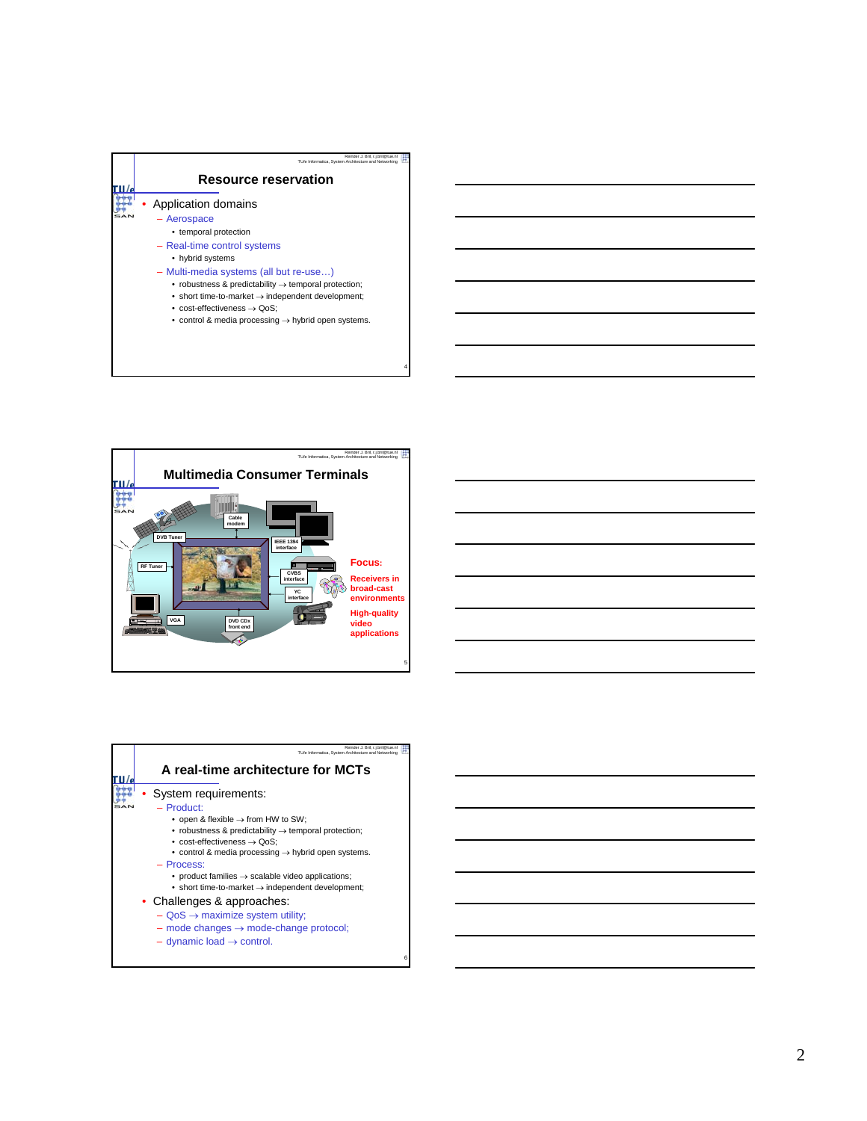